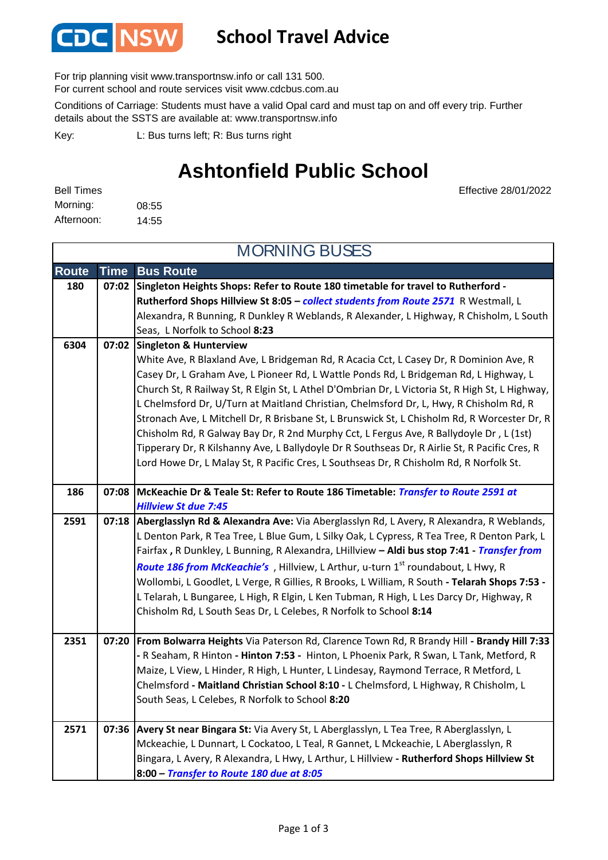

## **School Travel Advice**

For trip planning visit www.transportnsw.info or call 131 500.

For current school and route services visit www.cdcbus.com.au

Conditions of Carriage: Students must have a valid Opal card and must tap on and off every trip. Further details about the SSTS are available at: www.transportnsw.info

L: Bus turns left; R: Bus turns right Key:

## **Ashtonfield Public School**

08:55 14:55 Afternoon: Morning: Bell Times

Effective 28/01/2022

| <b>MORNING BUSES</b> |             |                                                                                                                                                                                                   |  |  |  |
|----------------------|-------------|---------------------------------------------------------------------------------------------------------------------------------------------------------------------------------------------------|--|--|--|
| <b>Route</b>         | <b>Time</b> | <b>Bus Route</b>                                                                                                                                                                                  |  |  |  |
| 180                  |             | 07:02 Singleton Heights Shops: Refer to Route 180 timetable for travel to Rutherford -                                                                                                            |  |  |  |
|                      |             | Rutherford Shops Hillview St 8:05 - collect students from Route 2571 R Westmall, L<br>Alexandra, R Bunning, R Dunkley R Weblands, R Alexander, L Highway, R Chisholm, L South                     |  |  |  |
|                      |             | Seas, L Norfolk to School 8:23                                                                                                                                                                    |  |  |  |
| 6304                 |             | 07:02 Singleton & Hunterview                                                                                                                                                                      |  |  |  |
|                      |             | White Ave, R Blaxland Ave, L Bridgeman Rd, R Acacia Cct, L Casey Dr, R Dominion Ave, R                                                                                                            |  |  |  |
|                      |             | Casey Dr, L Graham Ave, L Pioneer Rd, L Wattle Ponds Rd, L Bridgeman Rd, L Highway, L                                                                                                             |  |  |  |
|                      |             | Church St, R Railway St, R Elgin St, L Athel D'Ombrian Dr, L Victoria St, R High St, L Highway,                                                                                                   |  |  |  |
|                      |             | L Chelmsford Dr, U/Turn at Maitland Christian, Chelmsford Dr, L, Hwy, R Chisholm Rd, R                                                                                                            |  |  |  |
|                      |             | Stronach Ave, L Mitchell Dr, R Brisbane St, L Brunswick St, L Chisholm Rd, R Worcester Dr, R<br>Chisholm Rd, R Galway Bay Dr, R 2nd Murphy Cct, L Fergus Ave, R Ballydoyle Dr, L (1st)            |  |  |  |
|                      |             | Tipperary Dr, R Kilshanny Ave, L Ballydoyle Dr R Southseas Dr, R Airlie St, R Pacific Cres, R                                                                                                     |  |  |  |
|                      |             | Lord Howe Dr, L Malay St, R Pacific Cres, L Southseas Dr, R Chisholm Rd, R Norfolk St.                                                                                                            |  |  |  |
|                      |             |                                                                                                                                                                                                   |  |  |  |
| 186                  | 07:08       | McKeachie Dr & Teale St: Refer to Route 186 Timetable: Transfer to Route 2591 at                                                                                                                  |  |  |  |
|                      |             | <b>Hillview St due 7:45</b>                                                                                                                                                                       |  |  |  |
| 2591                 | 07:18       | Aberglasslyn Rd & Alexandra Ave: Via Aberglasslyn Rd, L Avery, R Alexandra, R Weblands,                                                                                                           |  |  |  |
|                      |             | L Denton Park, R Tea Tree, L Blue Gum, L Silky Oak, L Cypress, R Tea Tree, R Denton Park, L                                                                                                       |  |  |  |
|                      |             | Fairfax, R Dunkley, L Bunning, R Alexandra, LHillview - Aldi bus stop 7:41 - Transfer from<br><b>Route 186 from McKeachie's</b> , Hillview, L Arthur, u-turn 1 <sup>st</sup> roundabout, L Hwy, R |  |  |  |
|                      |             | Wollombi, L Goodlet, L Verge, R Gillies, R Brooks, L William, R South - Telarah Shops 7:53 -                                                                                                      |  |  |  |
|                      |             | L Telarah, L Bungaree, L High, R Elgin, L Ken Tubman, R High, L Les Darcy Dr, Highway, R                                                                                                          |  |  |  |
|                      |             | Chisholm Rd, L South Seas Dr, L Celebes, R Norfolk to School 8:14                                                                                                                                 |  |  |  |
|                      |             |                                                                                                                                                                                                   |  |  |  |
| 2351                 | 07:20       | From Bolwarra Heights Via Paterson Rd, Clarence Town Rd, R Brandy Hill - Brandy Hill 7:33                                                                                                         |  |  |  |
|                      |             | - R Seaham, R Hinton - <b>Hinton 7:53</b> - Hinton, L Phoenix Park, R Swan, L Tank, Metford, R                                                                                                    |  |  |  |
|                      |             | Maize, L View, L Hinder, R High, L Hunter, L Lindesay, Raymond Terrace, R Metford, L                                                                                                              |  |  |  |
|                      |             | Chelmsford - Maitland Christian School 8:10 - L Chelmsford, L Highway, R Chisholm, L<br>South Seas, L Celebes, R Norfolk to School 8:20                                                           |  |  |  |
|                      |             |                                                                                                                                                                                                   |  |  |  |
| 2571                 | 07:36       | Avery St near Bingara St: Via Avery St, L Aberglasslyn, L Tea Tree, R Aberglasslyn, L                                                                                                             |  |  |  |
|                      |             | Mckeachie, L Dunnart, L Cockatoo, L Teal, R Gannet, L Mckeachie, L Aberglasslyn, R                                                                                                                |  |  |  |
|                      |             | Bingara, L Avery, R Alexandra, L Hwy, L Arthur, L Hillview - Rutherford Shops Hillview St                                                                                                         |  |  |  |
|                      |             | 8:00 - Transfer to Route 180 due at 8:05                                                                                                                                                          |  |  |  |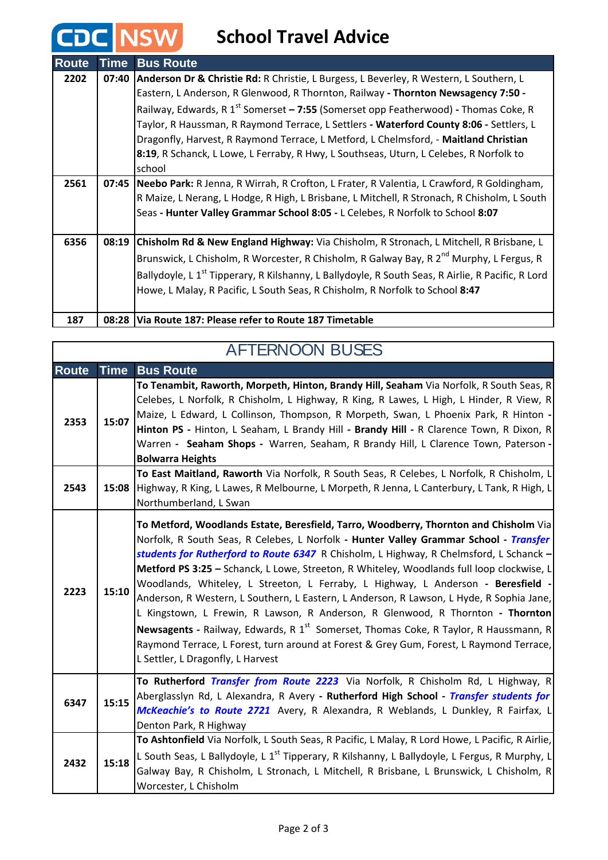## **CDC** NSW School Travel Advice

| <b>Route</b> | <b>Time</b> | <b>Bus Route</b>                                                                                              |
|--------------|-------------|---------------------------------------------------------------------------------------------------------------|
| 2202         |             | 07:40   Anderson Dr & Christie Rd: R Christie, L Burgess, L Beverley, R Western, L Southern, L                |
|              |             | Eastern, L Anderson, R Glenwood, R Thornton, Railway - Thornton Newsagency 7:50 -                             |
|              |             | Railway, Edwards, R 1 <sup>st</sup> Somerset – 7:55 (Somerset opp Featherwood) - Thomas Coke, R               |
|              |             | Taylor, R Haussman, R Raymond Terrace, L Settlers - Waterford County 8:06 - Settlers, L                       |
|              |             | Dragonfly, Harvest, R Raymond Terrace, L Metford, L Chelmsford, - Maitland Christian                          |
|              |             | 8:19, R Schanck, L Lowe, L Ferraby, R Hwy, L Southseas, Uturn, L Celebes, R Norfolk to                        |
|              |             | school                                                                                                        |
| 2561         |             | 07:45   Neebo Park: R Jenna, R Wirrah, R Crofton, L Frater, R Valentia, L Crawford, R Goldingham,             |
|              |             | R Maize, L Nerang, L Hodge, R High, L Brisbane, L Mitchell, R Stronach, R Chisholm, L South                   |
|              |             | Seas - Hunter Valley Grammar School 8:05 - L Celebes, R Norfolk to School 8:07                                |
|              |             |                                                                                                               |
| 6356         | 08:19       | Chisholm Rd & New England Highway: Via Chisholm, R Stronach, L Mitchell, R Brisbane, L                        |
|              |             | Brunswick, L Chisholm, R Worcester, R Chisholm, R Galway Bay, R 2 <sup>nd</sup> Murphy, L Fergus, R           |
|              |             | Ballydoyle, L 1 <sup>st</sup> Tipperary, R Kilshanny, L Ballydoyle, R South Seas, R Airlie, R Pacific, R Lord |
|              |             | Howe, L Malay, R Pacific, L South Seas, R Chisholm, R Norfolk to School 8:47                                  |
|              |             |                                                                                                               |
| 187          |             | 08:28   Via Route 187: Please refer to Route 187 Timetable                                                    |

| <b>AFTERNOON BUSES</b> |             |                                                                                                                                                                                                                                                                                                                                                                                                                                                                                                                                                                                                                                                                                                                                                                                                                                                                          |  |  |  |
|------------------------|-------------|--------------------------------------------------------------------------------------------------------------------------------------------------------------------------------------------------------------------------------------------------------------------------------------------------------------------------------------------------------------------------------------------------------------------------------------------------------------------------------------------------------------------------------------------------------------------------------------------------------------------------------------------------------------------------------------------------------------------------------------------------------------------------------------------------------------------------------------------------------------------------|--|--|--|
| <b>Route</b>           | <b>Time</b> | <b>Bus Route</b>                                                                                                                                                                                                                                                                                                                                                                                                                                                                                                                                                                                                                                                                                                                                                                                                                                                         |  |  |  |
| 2353                   | 15:07       | To Tenambit, Raworth, Morpeth, Hinton, Brandy Hill, Seaham Via Norfolk, R South Seas, R<br>Celebes, L Norfolk, R Chisholm, L Highway, R King, R Lawes, L High, L Hinder, R View, R<br>Maize, L Edward, L Collinson, Thompson, R Morpeth, Swan, L Phoenix Park, R Hinton -<br>Hinton PS - Hinton, L Seaham, L Brandy Hill - Brandy Hill - R Clarence Town, R Dixon, R<br>Warren - Seaham Shops - Warren, Seaham, R Brandy Hill, L Clarence Town, Paterson -<br><b>Bolwarra Heights</b>                                                                                                                                                                                                                                                                                                                                                                                    |  |  |  |
| 2543                   | 15:08       | To East Maitland, Raworth Via Norfolk, R South Seas, R Celebes, L Norfolk, R Chisholm, L<br>Highway, R King, L Lawes, R Melbourne, L Morpeth, R Jenna, L Canterbury, L Tank, R High, L<br>Northumberland, L Swan                                                                                                                                                                                                                                                                                                                                                                                                                                                                                                                                                                                                                                                         |  |  |  |
| 2223                   | 15:10       | To Metford, Woodlands Estate, Beresfield, Tarro, Woodberry, Thornton and Chisholm Via<br>Norfolk, R South Seas, R Celebes, L Norfolk - Hunter Valley Grammar School - Transfer<br>students for Rutherford to Route 6347 R Chisholm, L Highway, R Chelmsford, L Schanck -<br>Metford PS 3:25 - Schanck, L Lowe, Streeton, R Whiteley, Woodlands full loop clockwise, L<br>Woodlands, Whiteley, L Streeton, L Ferraby, L Highway, L Anderson - Beresfield -<br>Anderson, R Western, L Southern, L Eastern, L Anderson, R Lawson, L Hyde, R Sophia Jane,<br>L Kingstown, L Frewin, R Lawson, R Anderson, R Glenwood, R Thornton - Thornton<br><b>Newsagents</b> - Railway, Edwards, R $1st$ Somerset, Thomas Coke, R Taylor, R Haussmann, R<br>Raymond Terrace, L Forest, turn around at Forest & Grey Gum, Forest, L Raymond Terrace,<br>L Settler, L Dragonfly, L Harvest |  |  |  |
| 6347                   | 15:15       | To Rutherford <i>Transfer from Route 2223</i> Via Norfolk, R Chisholm Rd, L Highway, R<br>Aberglasslyn Rd, L Alexandra, R Avery - Rutherford High School - Transfer students for<br>McKeachie's to Route 2721 Avery, R Alexandra, R Weblands, L Dunkley, R Fairfax, L<br>Denton Park, R Highway                                                                                                                                                                                                                                                                                                                                                                                                                                                                                                                                                                          |  |  |  |
| 2432                   | 15:18       | To Ashtonfield Via Norfolk, L South Seas, R Pacific, L Malay, R Lord Howe, L Pacific, R Airlie,<br>L South Seas, L Ballydoyle, L 1 <sup>st</sup> Tipperary, R Kilshanny, L Ballydoyle, L Fergus, R Murphy, L<br>Galway Bay, R Chisholm, L Stronach, L Mitchell, R Brisbane, L Brunswick, L Chisholm, R<br>Worcester, L Chisholm                                                                                                                                                                                                                                                                                                                                                                                                                                                                                                                                          |  |  |  |